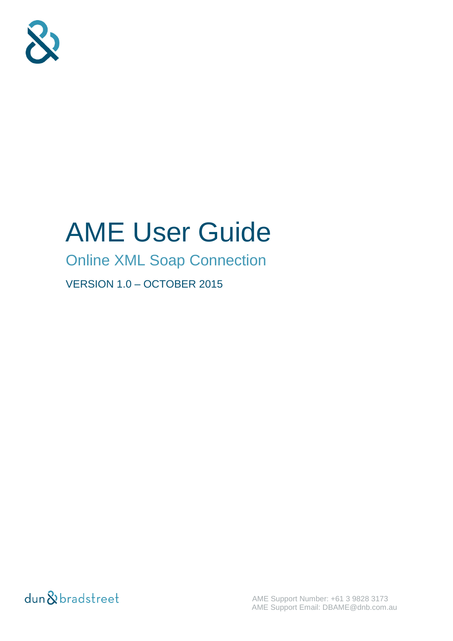

# AME User Guide

Online XML Soap Connection

VERSION 1.0 – OCTOBER 2015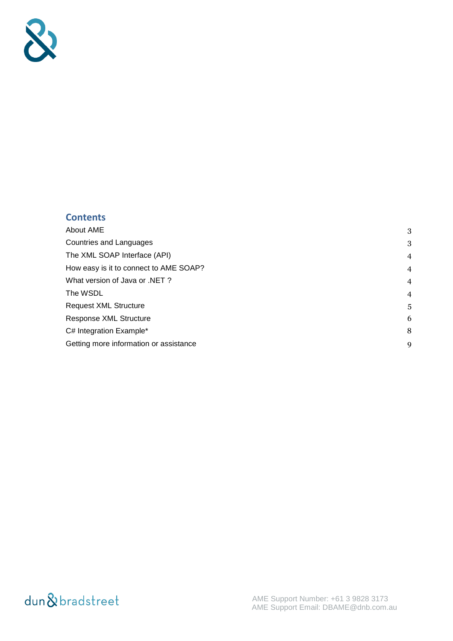

#### **Contents**

| About AME                              | 3              |
|----------------------------------------|----------------|
| <b>Countries and Languages</b>         | 3              |
| The XML SOAP Interface (API)           | $\overline{4}$ |
| How easy is it to connect to AME SOAP? | $\overline{4}$ |
| What version of Java or .NET ?         | $\overline{4}$ |
| The WSDL                               | $\overline{4}$ |
| <b>Request XML Structure</b>           | 5              |
| Response XML Structure                 | 6              |
| C# Integration Example*                | 8              |
| Getting more information or assistance | 9              |
|                                        |                |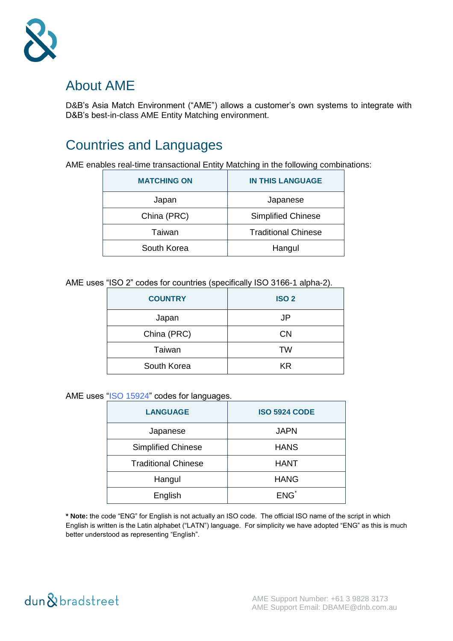

#### <span id="page-2-0"></span>About AME

D&B's Asia Match Environment ("AME") allows a customer's own systems to integrate with D&B's best-in-class AME Entity Matching environment.

## <span id="page-2-1"></span>Countries and Languages

AME enables real-time transactional Entity Matching in the following combinations:

| <b>MATCHING ON</b> | <b>IN THIS LANGUAGE</b>    |
|--------------------|----------------------------|
| Japan              | Japanese                   |
| China (PRC)        | <b>Simplified Chinese</b>  |
| Taiwan             | <b>Traditional Chinese</b> |
| South Korea        | Hangul                     |

AME uses "ISO 2" codes for countries (specifically ISO 3166-1 alpha-2).

| <b>COUNTRY</b> | <b>ISO 2</b> |
|----------------|--------------|
| Japan          | JP           |
| China (PRC)    | <b>CN</b>    |
| Taiwan         | TW           |
| South Korea    | <b>KR</b>    |

AME uses ["ISO 15924"](http://www.unicode.org/iso15924/iso15924-codes.html) codes for languages.

| <b>LANGUAGE</b>            | <b>ISO 5924 CODE</b> |
|----------------------------|----------------------|
| Japanese                   | <b>JAPN</b>          |
| <b>Simplified Chinese</b>  | <b>HANS</b>          |
| <b>Traditional Chinese</b> | <b>HANT</b>          |
| Hangul                     | <b>HANG</b>          |
| English                    | ENG <sup>*</sup>     |

**\* Note:** the code "ENG" for English is not actually an ISO code. The official ISO name of the script in which English is written is the Latin alphabet ("LATN") language. For simplicity we have adopted "ENG" as this is much better understood as representing "English".

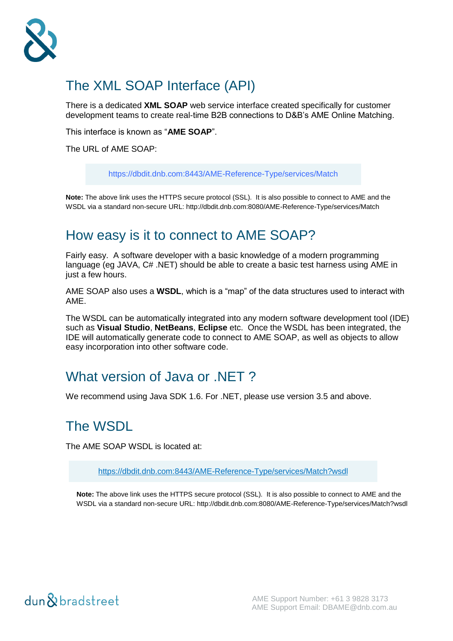

## <span id="page-3-0"></span>The XML SOAP Interface (API)

There is a dedicated **XML SOAP** web service interface created specifically for customer development teams to create real-time B2B connections to D&B's AME Online Matching.

This interface is known as "**AME SOAP**".

The URL of AMF SOAP:

<https://dbdit.dnb.com:8443/AME-Reference-Type/services/Match>

**Note:** The above link uses the HTTPS secure protocol (SSL). It is also possible to connect to AME and the WSDL via a standard non-secure URL: http://dbdit.dnb.com:8080/AME-Reference-Type/services/Match

#### <span id="page-3-1"></span>How easy is it to connect to AME SOAP?

Fairly easy. A software developer with a basic knowledge of a modern programming language (eg JAVA, C# .NET) should be able to create a basic test harness using AME in just a few hours.

AME SOAP also uses a **WSDL**, which is a "map" of the data structures used to interact with AME.

The WSDL can be automatically integrated into any modern software development tool (IDE) such as **Visual Studio**, **NetBeans**, **Eclipse** etc. Once the WSDL has been integrated, the IDE will automatically generate code to connect to AME SOAP, as well as objects to allow easy incorporation into other software code.

#### <span id="page-3-2"></span>What version of Java or .NET?

We recommend using Java SDK 1.6. For .NET, please use version 3.5 and above.

#### <span id="page-3-3"></span>The WSDL

The AME SOAP WSDL is located at:

[https://dbdit.dnb.com:8443/AME-Reference-Type/services/Match?](https://dbdit.dnb.com:8443/AME-Reference-Type/services/Match?wsdl)wsdl

**Note:** The above link uses the HTTPS secure protocol (SSL). It is also possible to connect to AME and the WSDL via a standard non-secure URL: http://dbdit.dnb.com:8080/AME-Reference-Type/services/Match?wsdl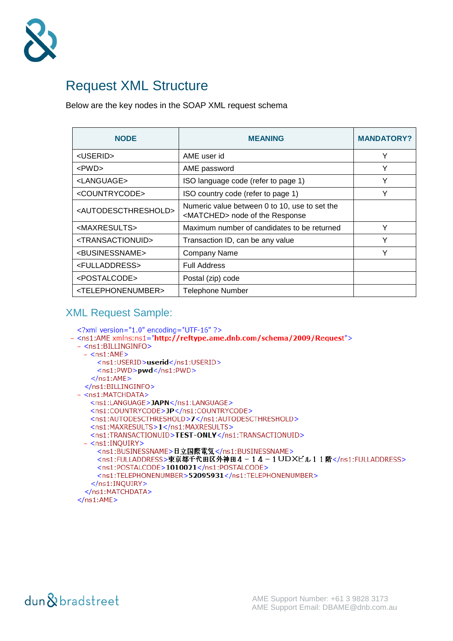

#### <span id="page-4-0"></span>Request XML Structure

Below are the key nodes in the SOAP XML request schema

| <b>NODE</b>                             | <b>MEANING</b>                                                                            | <b>MANDATORY?</b> |
|-----------------------------------------|-------------------------------------------------------------------------------------------|-------------------|
| <userid></userid>                       | AME user id                                                                               | Υ                 |
| $<$ PWD $>$                             | AME password                                                                              | Y                 |
| <language></language>                   | ISO language code (refer to page 1)                                                       | Υ                 |
| <countrycode></countrycode>             | ISO country code (refer to page 1)                                                        | Υ                 |
| <autodescthreshold></autodescthreshold> | Numeric value between 0 to 10, use to set the<br><matched> node of the Response</matched> |                   |
| <maxresults></maxresults>               | Maximum number of candidates to be returned                                               | Υ                 |
| <transactionuid></transactionuid>       | Transaction ID, can be any value                                                          | v                 |
| <businessname></businessname>           | <b>Company Name</b>                                                                       | Υ                 |
| <fulladdress></fulladdress>             | <b>Full Address</b>                                                                       |                   |
| <postalcode></postalcode>               | Postal (zip) code                                                                         |                   |
| <telephonenumber></telephonenumber>     | <b>Telephone Number</b>                                                                   |                   |

#### XML Request Sample:

```
<?xml version="1.0" encoding="UTF-16" ?>
- <ns1:AME xmlns:ns1="http://reftype.ame.dnb.com/schema/2009/Request">
 - <ns1:BILLINGINFO>
   - <ns1:AME>
      <ns1:USERID>userid</ns1:USERID>
      <ns1:PWD>pwd</ns1:PWD>
    </ns1:AME></ns1:BILLINGINFO>
 - <ns1:MATCHDATA>
    <ns1:LANGUAGE>JAPN</ns1:LANGUAGE>
    <ns1:COUNTRYCODE>JP</ns1:COUNTRYCODE>
    <ns1:AUTODESCTHRESHOLD>7</ns1:AUTODESCTHRESHOLD>
    <ns1:MAXRESULTS>1</ns1:MAXRESULTS>
    <ns1:TRANSACTIONUID>TEST-ONLY</ns1:TRANSACTIONUID>
   - <ns1:INQUIRY>
      <ns1:BUSINESSNAME>日立国際電気</ns1:BUSINESSNAME>
      <ns1:FULLADDRESS>東京都千代田区外神田4-14-1UDXビル11階</ns1:FULLADDRESS>
      <ns1:POSTALCODE>1010021</ns1:POSTALCODE>
      <ns1:TELEPHONENUMBER>52095931</ns1:TELEPHONENUMBER>
     </ns1:INQUIRY>
   </ns1:MATCHDATA>
 </ns1: AME>
```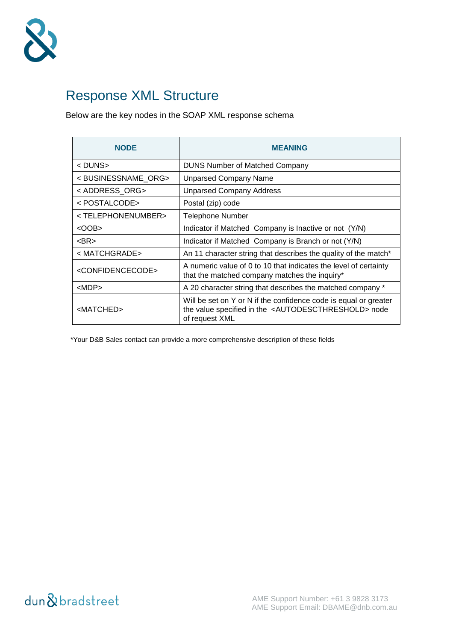

## <span id="page-5-0"></span>Response XML Structure

Below are the key nodes in the SOAP XML response schema

| <b>NODE</b>                          | <b>MEANING</b>                                                                                                                                                 |
|--------------------------------------|----------------------------------------------------------------------------------------------------------------------------------------------------------------|
| < DUNS>                              | <b>DUNS Number of Matched Company</b>                                                                                                                          |
| <businessname org=""></businessname> | <b>Unparsed Company Name</b>                                                                                                                                   |
| < ADDRESS ORG>                       | <b>Unparsed Company Address</b>                                                                                                                                |
| < POSTALCODE>                        | Postal (zip) code                                                                                                                                              |
| <telephonenumber></telephonenumber>  | <b>Telephone Number</b>                                                                                                                                        |
| <oob></oob>                          | Indicator if Matched Company is Inactive or not (Y/N)                                                                                                          |
| $<$ BR $>$                           | Indicator if Matched Company is Branch or not (Y/N)                                                                                                            |
| < MATCHGRADE>                        | An 11 character string that describes the quality of the match*                                                                                                |
| <confidencecode></confidencecode>    | A numeric value of 0 to 10 that indicates the level of certainty<br>that the matched company matches the inquiry*                                              |
| $<$ MDP $>$                          | A 20 character string that describes the matched company *                                                                                                     |
| <matched></matched>                  | Will be set on Y or N if the confidence code is equal or greater<br>the value specified in the <autodescthreshold> node<br/>of request XML</autodescthreshold> |

\*Your D&B Sales contact can provide a more comprehensive description of these fields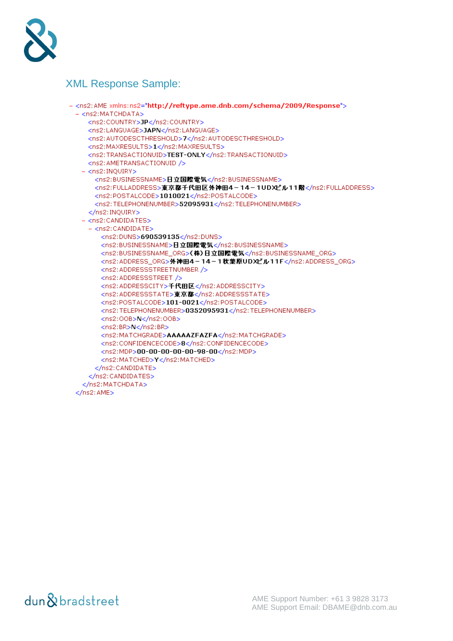

#### XML Response Sample:

```
- <ns2:AME xmlns:ns2="http://reftype.ame.dnb.com/schema/2009/Response">
 - <ns2: MATCHDATA>
    <ns2:COUNTRY>JP</ns2:COUNTRY>
    <ns2:LANGUAGE>JAPN</ns2:LANGUAGE>
    <ns2:AUTODESCTHRESHOLD>7</ns2:AUTODESCTHRESHOLD>
    <ns2:MAXRESULTS>1</ns2:MAXRESULTS>
    <ns2:TRANSACTIONUID>TEST-ONLY</ns2:TRANSACTIONUID>
    <ns2: AMETRANSACTIONUID />
   - <ns2:INQUIRY>
      <ns2:BUSINESSNAME>日立国際電気</ns2:BUSINESSNAME>
      <ns2:FULLADDRESS>東京都千代田区外神田4-14-1UDXビル11階</ns2:FULLADDRESS>
      <ns2:POSTALCODE>1010021</ns2:POSTALCODE>
      <ns2:TELEPHONENUMBER>52095931</ns2:TELEPHONENUMBER>
    </ns2:INQUIRY>
   - <ns2:CANDIDATES>
    - <ns2:CANDIDATE>
        <ns2:DUNS>690539135</ns2:DUNS>
        <ns2:BUSINESSNAME>日立国際電気</ns2:BUSINESSNAME>
        <ns2:BUSINESSNAME_ORG>(株)日立国際電気</ns2:BUSINESSNAME_ORG>
        <ns2:ADDRESS_ORG>外神田4-14-1秋葉原UDXビル11F</ns2:ADDRESS_ORG>
        <ns2: ADDRESSSTREETNUMBER />
       <ns2:ADDRESSSTREET />
        <ns2: ADDRESSCITY>千代田区</ns2: ADDRESSCITY>
        <ns2:ADDRESSSTATE>東京都</ns2:ADDRESSSTATE>
        <ns2:POSTALCODE>101-0021</ns2:POSTALCODE>
        <ns2:TELEPHONENUMBER>0352095931</ns2:TELEPHONENUMBER>
        <ns2:00B>N</ns2:00B>
       <ns2:BR>N</ns2:BR>
        <ns2:MATCHGRADE>AAAAAZFAZFA</ns2:MATCHGRADE>
        <ns2:CONFIDENCECODE>8</ns2:CONFIDENCECODE>
        <ns2:MDP>00-00-00-00-00-98-00</ns2:MDP>
        <ns2:MATCHED>Y</ns2:MATCHED>
      </ns2:CANDIDATE>
    </ns2:CANDIDATES>
   </ns2:MATCHDATA>
 </ns2:AME>
```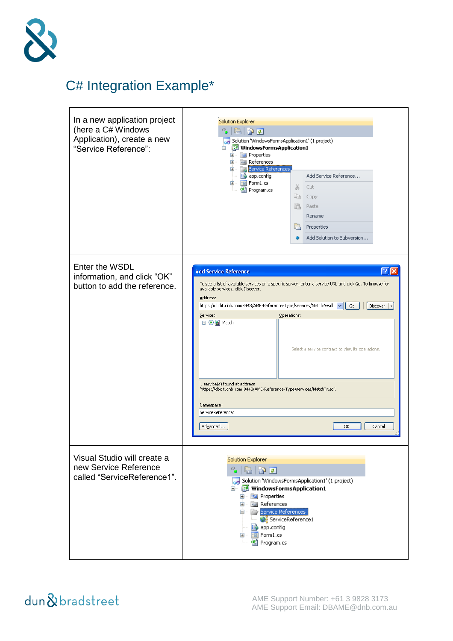

# <span id="page-7-0"></span>C# Integration Example\*

| In a new application project<br>(here a C# Windows<br>Application), create a new<br>"Service Reference": | <b>Solution Explorer</b><br>್ಡ<br>鬼像す<br>Solution 'WindowsFormsApplication1' (1 project)<br>白 图 WindowsFormsApplication1<br><b>E E</b> Properties<br><b>E</b> References<br>Service References<br>app.config<br>Add Service Reference<br>$\equiv$ Form1.cs<br>X<br>Cut<br>뼵 Program.cs<br>£È<br>Copy<br>ß.<br>Paste<br>Rename<br>Properties<br>a<br>Add Solution to Subversion<br>÷                                                                                                                                                                                         |
|----------------------------------------------------------------------------------------------------------|-----------------------------------------------------------------------------------------------------------------------------------------------------------------------------------------------------------------------------------------------------------------------------------------------------------------------------------------------------------------------------------------------------------------------------------------------------------------------------------------------------------------------------------------------------------------------------|
| Enter the WSDL<br>information, and click "OK"<br>button to add the reference.                            | '? I<br><b>Add Service Reference</b><br>To see a list of available services on a specific server, enter a service URL and click Go. To browse for<br>available services, click Discover.<br>Address:<br>https://dbdit.dnb.com:8443/AME-Reference-Type/services/Match?wsdl<br>Go<br>Discover<br>Services:<br>Operations:<br><b>□ ⊙ al Match</b><br>Select a service contract to view its operations.<br>1 service(s) found at address<br>"https://dbdit.dnb.com:8443/AME-Reference-Type/services/Match?wsdl'.<br>Namespace:<br>ServiceReference1<br>Advanced<br>ОК<br>Cancel |
| Visual Studio will create a<br>new Service Reference<br>called "ServiceReference1".                      | Solution Explorer<br>್ಡಿ<br>e 90<br>Solution 'WindowsFormsApplication1' (1 project)<br><b>E WindowsFormsApplication1</b><br>由 图 Properties<br><b>E I</b> References<br><b>Election</b> Service References<br>ServiceReference1<br>$\Rightarrow$ app.config<br>$\equiv$ Form1.cs<br>⊞…<br>뼵 Program.cs                                                                                                                                                                                                                                                                       |